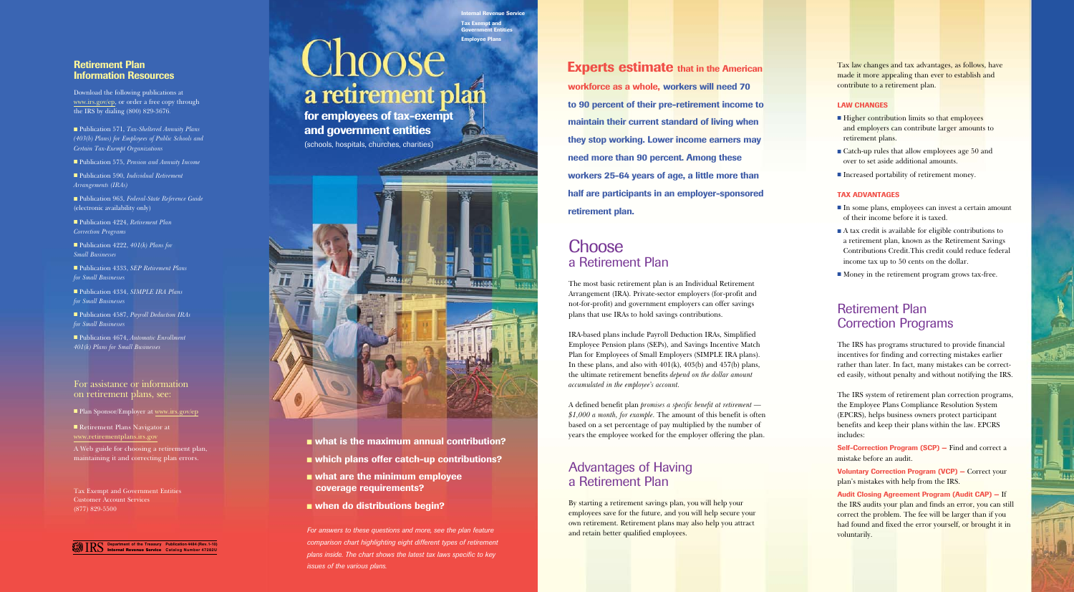# Government Entities Employee Plans Choose a retirement plan

nal Revenue Service

Tax Exempt and

**D** 

## Retirement Plan Information Resources

■ Publication 571, *Tax-Sheltered Annuity Plans (403(b) Plans) for Employees of Public Schools and Certain Tax-Exempt Organizations* 

■ Publication 575, *Pension and Annuity Income* 

Download the following publications at www.irs.gov/ep, or order a free copy through the IRS by dialing (800) 829-3676*.* 

■ Publication 590, *Individual Retirement Arrangements (IRAs)* 

■ Publication 963, *Federal-State Reference Guide* (electronic availability only)

■ Publication 4224, *Retirement Plan Correction Programs* 

■ Publication 4222, 401(k) Plans for *Small Businesses* 

■ Publication 4333, *SEP Retirement Plans for Small Businesses* 

■ Publication 4334, *SIMPLE IRA Plans for Small Businesses* 

■ Publication 4587, *Payroll Deduction IRAs for Small Businesses* 

■ Publication 4674, *Automatic Enrollment 401(k) Plans for Small Businesses* 



### For assistance or information on retirement plans, see:

■ Plan Sponsor/Employer at www.irs.gov/ep

Retirement Plans Navigator at www.retirementplans.irs.gov

**Experts estimate that in the American** workforce as a whole, workers will need 70 to 90 percent of their pre-retirement income to maintain their current standard of living when they stop working. Lower income earners may need more than 90 percent. Among these workers 25-64 years of age, a little more than half are participants in an employer-sponsored retirement plan.

## **Choose** a Retirement Plan

A Web guide for choosing a retirement plan, maintaining it and correcting plan errors.

Tax Exempt and Government Entities Customer Account Services (877) 829-5500

for employees of tax-exempt and government entities

> *accumulated in the employee's account.* IRA-based plans include Payroll Deduction IRAs, Simplified Employee Pension plans (SEPs), and Savings Incentive Match Plan for Employees of Small Employers (SIMPLE IRA plans). In these plans, and also with 401(k), 403(b) and 457(b) plans, the ultimate retirement benefits *depend on the dollar amount*

(schools, hospitals, churches, charities)



- what is the maximum annual contribution?
- which plans offer catch-up contributions?
- $\blacksquare$  what are the minimum employee coverage requirements?
- when do distributions begin?

*For answers to these questions and more, see the plan feature comparison chart highlighting eight different types of retirement plans inside. The chart shows the latest tax laws specific to key issues of the various plans.* 

Self-Correction Program (SCP) – Find and correct a mistake before an audit.

The most basic retirement plan is an Individual Retirement Arrangement (IRA). Private-sector employers (for-profit and not-for-profit) and government employers can offer savings plans that use IRAs to hold savings contributions.

A defined benefit plan *promises a specific benefit at retirement — \$1,000 a month, for example.* The amount of this benefit is often based on a set percentage of pay multiplied by the number of years the employee worked for the employer offering the plan.

## Advantages of Having a Retirement Plan

By starting a retirement savings plan, you will help your employees save for the future, and you will help secure your own retirement. Retirement plans may also help you attract and retain better qualified employees.

Tax law changes and tax advantages, as follows, have made it more appealing than ever to establish and contribute to a retirement plan.

### **LAW CHANGES**

- Higher contribution limits so that employees and employers can contribute larger amounts to retirement plans.
- Catch-up rules that allow employees age 50 and over to set aside additional amounts.
- **Increased portability of retirement money.**

### TAX ADVANTAGES

- In some plans, employees can invest a certain amount of their income before it is taxed.
- $\blacksquare$  A tax credit is available for eligible contributions to a retirement plan, known as the Retirement Savings Contributions Credit. This credit could reduce federal income tax up to 50 cents on the dollar.
- Money in the retirement program grows tax-free.

## Retirement Plan Correction Programs

The IRS has programs structured to provide financial incentives for finding and correcting mistakes earlier rather than later. In fact, many mistakes can be corrected easily, without penalty and without notifying the IRS.

The IRS system of retirement plan correction programs, the Employee Plans Compliance Resolution System (EPCRS), helps business owners protect participant benefits and keep their plans within the law. EPCRS includes:

Voluntary Correction Program (VCP) — Correct your plan's mistakes with help from the IRS.

Audit Closing Agreement Program (Audit CAP) — If the IRS audits your plan and finds an error, you can still correct the problem. The fee will be larger than if you had found and fixed the error yourself, or brought it in voluntarily.



**OF ALS**